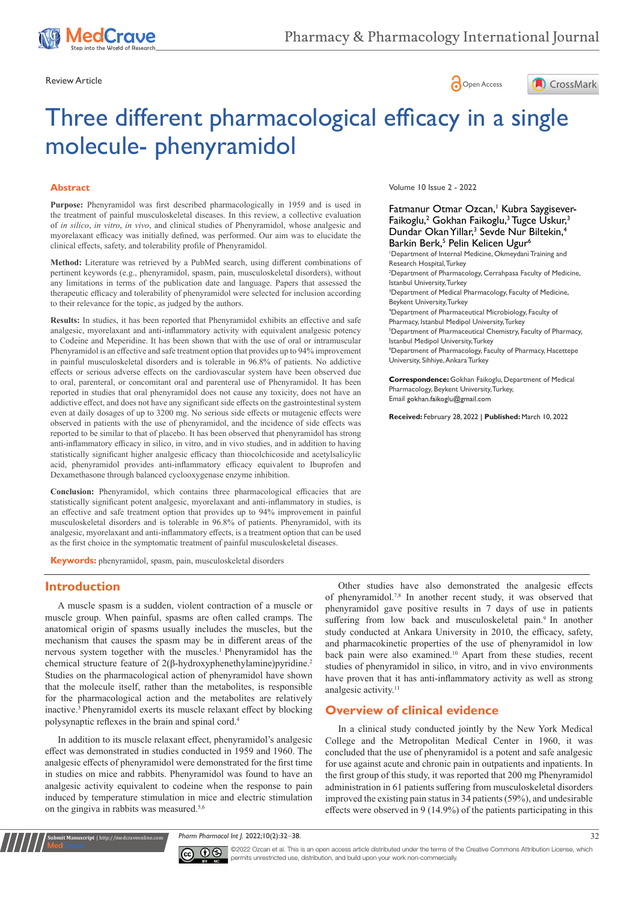





# Three different pharmacological efficacy in a single molecule- phenyramidol

## **Abstract**

**Purpose:** Phenyramidol was first described pharmacologically in 1959 and is used in the treatment of painful musculoskeletal diseases. In this review, a collective evaluation of *in silico*, *in vitro*, *in vivo*, and clinical studies of Phenyramidol, whose analgesic and myorelaxant efficacy was initially defined, was performed. Our aim was to elucidate the clinical effects, safety, and tolerability profile of Phenyramidol.

**Method:** Literature was retrieved by a PubMed search, using different combinations of pertinent keywords (e.g., phenyramidol, spasm, pain, musculoskeletal disorders), without any limitations in terms of the publication date and language. Papers that assessed the therapeutic efficacy and tolerability of phenyramidol were selected for inclusion according to their relevance for the topic, as judged by the authors.

**Results:** In studies, it has been reported that Phenyramidol exhibits an effective and safe analgesic, myorelaxant and anti-inflammatory activity with equivalent analgesic potency to Codeine and Meperidine. It has been shown that with the use of oral or intramuscular Phenyramidol is an effective and safe treatment option that provides up to 94% improvement in painful musculoskeletal disorders and is tolerable in 96.8% of patients. No addictive effects or serious adverse effects on the cardiovascular system have been observed due to oral, parenteral, or concomitant oral and parenteral use of Phenyramidol. It has been reported in studies that oral phenyramidol does not cause any toxicity, does not have an addictive effect, and does not have any significant side effects on the gastrointestinal system even at daily dosages of up to 3200 mg. No serious side effects or mutagenic effects were observed in patients with the use of phenyramidol, and the incidence of side effects was reported to be similar to that of placebo. It has been observed that phenyramidol has strong anti-inflammatory efficacy in silico, in vitro, and in vivo studies, and in addition to having statistically significant higher analgesic efficacy than thiocolchicoside and acetylsalicylic acid, phenyramidol provides anti-inflammatory efficacy equivalent to Ibuprofen and Dexamethasone through balanced cyclooxygenase enzyme inhibition.

**Conclusion:** Phenyramidol, which contains three pharmacological efficacies that are statistically significant potent analgesic, myorelaxant and anti-inflammatory in studies, is an effective and safe treatment option that provides up to 94% improvement in painful musculoskeletal disorders and is tolerable in 96.8% of patients. Phenyramidol, with its analgesic, myorelaxant and anti-inflammatory effects, is a treatment option that can be used as the first choice in the symptomatic treatment of painful musculoskeletal diseases.

**Keywords:** phenyramidol, spasm, pain, musculoskeletal disorders

### **Introduction**

**nit Manuscript** | http://medcraveonline.c

A muscle spasm is a sudden, violent contraction of a muscle or muscle group. When painful, spasms are often called cramps. The anatomical origin of spasms usually includes the muscles, but the mechanism that causes the spasm may be in different areas of the nervous system together with the muscles.<sup>1</sup> Phenyramidol has the chemical structure feature of 2(β-hydroxyphenethylamine)pyridine.<sup>2</sup> Studies on the pharmacological action of phenyramidol have shown that the molecule itself, rather than the metabolites, is responsible for the pharmacological action and the metabolites are relatively inactive.3 Phenyramidol exerts its muscle relaxant effect by blocking polysynaptic reflexes in the brain and spinal cord.<sup>4</sup>

In addition to its muscle relaxant effect, phenyramidol's analgesic effect was demonstrated in studies conducted in 1959 and 1960. The analgesic effects of phenyramidol were demonstrated for the first time in studies on mice and rabbits. Phenyramidol was found to have an analgesic activity equivalent to codeine when the response to pain induced by temperature stimulation in mice and electric stimulation on the gingiva in rabbits was measured.<sup>5,6</sup>

Volume 10 Issue 2 - 2022

Fatmanur Otmar Ozcan,<sup>1</sup> Kubra Saygisever-Faikoglu,<sup>2</sup> Gokhan Faikoglu,<sup>3</sup> Tugce Uskur,<sup>3</sup> Dundar Okan Yillar,<sup>3</sup> Sevde Nur Biltekin,<sup>4</sup> Barkin Berk,<sup>5</sup> Pelin Kelicen Ugur<sup>6</sup> 1 Department of Internal Medicine, Okmeydani Training and Research Hospital, Turkey 2 Department of Pharmacology, Cerrahpasa Faculty of Medicine, Istanbul University, Turkey <sup>3</sup>Department of Medical Pharmacology, Faculty of Medicine, Beykent University, Turkey 4 Department of Pharmaceutical Microbiology, Faculty of Pharmacy, Istanbul Medipol University, Turkey 5 Department of Pharmaceutical Chemistry, Faculty of Pharmacy, Istanbul Medipol University, Turkey 6 Department of Pharmacology, Faculty of Pharmacy, Hacettepe University, Sihhiye, Ankara Turkey

**Correspondence:** Gokhan Faikoglu, Department of Medical Pharmacology, Beykent University, Turkey, Email gokhan.faikoglu@gmail.com

**Received:** February 28, 2022 | **Published:** March 10, 2022

Other studies have also demonstrated the analgesic effects of phenyramidol.7,8 In another recent study, it was observed that phenyramidol gave positive results in 7 days of use in patients suffering from low back and musculoskeletal pain.<sup>9</sup> In another study conducted at Ankara University in 2010, the efficacy, safety, and pharmacokinetic properties of the use of phenyramidol in low back pain were also examined.<sup>10</sup> Apart from these studies, recent studies of phenyramidol in silico, in vitro, and in vivo environments have proven that it has anti-inflammatory activity as well as strong analgesic activity.<sup>11</sup>

# **Overview of clinical evidence**

In a clinical study conducted jointly by the New York Medical College and the Metropolitan Medical Center in 1960, it was concluded that the use of phenyramidol is a potent and safe analgesic for use against acute and chronic pain in outpatients and inpatients. In the first group of this study, it was reported that 200 mg Phenyramidol administration in 61 patients suffering from musculoskeletal disorders improved the existing pain status in 34 patients (59%), and undesirable effects were observed in 9 (14.9%) of the patients participating in this

*Pharm Pharmacol Int J.* 2022;10(2):32‒38. 32



©2022 Ozcan et al. This is an open access article distributed under the terms of the [Creative Commons Attribution License,](https://creativecommons.org/licenses/by-nc/4.0/) which permits unrestricted use, distribution, and build upon your work non-commercially.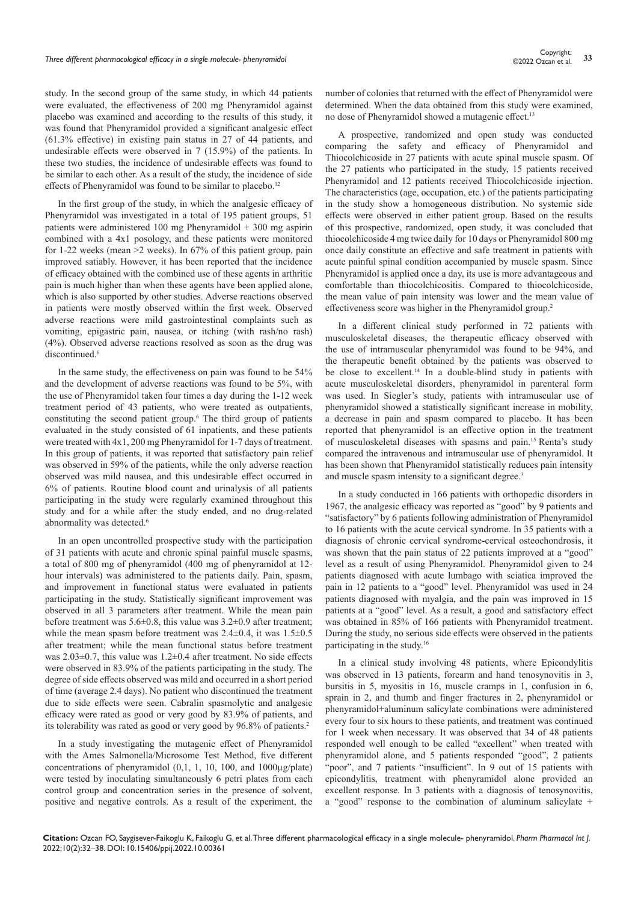study. In the second group of the same study, in which 44 patients were evaluated, the effectiveness of 200 mg Phenyramidol against placebo was examined and according to the results of this study, it was found that Phenyramidol provided a significant analgesic effect (61.3% effective) in existing pain status in 27 of 44 patients, and undesirable effects were observed in 7 (15.9%) of the patients. In these two studies, the incidence of undesirable effects was found to be similar to each other. As a result of the study, the incidence of side effects of Phenyramidol was found to be similar to placebo.<sup>12</sup>

In the first group of the study, in which the analgesic efficacy of Phenyramidol was investigated in a total of 195 patient groups, 51 patients were administered 100 mg Phenyramidol + 300 mg aspirin combined with a 4x1 posology, and these patients were monitored for 1-22 weeks (mean >2 weeks). In 67% of this patient group, pain improved satiably. However, it has been reported that the incidence of efficacy obtained with the combined use of these agents in arthritic pain is much higher than when these agents have been applied alone, which is also supported by other studies. Adverse reactions observed in patients were mostly observed within the first week. Observed adverse reactions were mild gastrointestinal complaints such as vomiting, epigastric pain, nausea, or itching (with rash/no rash) (4%). Observed adverse reactions resolved as soon as the drug was discontinued.<sup>6</sup>

In the same study, the effectiveness on pain was found to be 54% and the development of adverse reactions was found to be 5%, with the use of Phenyramidol taken four times a day during the 1-12 week treatment period of 43 patients, who were treated as outpatients, constituting the second patient group.<sup>6</sup> The third group of patients evaluated in the study consisted of 61 inpatients, and these patients were treated with 4x1, 200 mg Phenyramidol for 1-7 days of treatment. In this group of patients, it was reported that satisfactory pain relief was observed in 59% of the patients, while the only adverse reaction observed was mild nausea, and this undesirable effect occurred in 6% of patients. Routine blood count and urinalysis of all patients participating in the study were regularly examined throughout this study and for a while after the study ended, and no drug-related abnormality was detected.<sup>6</sup>

In an open uncontrolled prospective study with the participation of 31 patients with acute and chronic spinal painful muscle spasms, a total of 800 mg of phenyramidol (400 mg of phenyramidol at 12 hour intervals) was administered to the patients daily. Pain, spasm, and improvement in functional status were evaluated in patients participating in the study. Statistically significant improvement was observed in all 3 parameters after treatment. While the mean pain before treatment was  $5.6\pm 0.8$ , this value was  $3.2\pm 0.9$  after treatment; while the mean spasm before treatment was  $2.4\pm0.4$ , it was  $1.5\pm0.5$ after treatment; while the mean functional status before treatment was 2.03±0.7, this value was 1.2±0.4 after treatment. No side effects were observed in 83.9% of the patients participating in the study. The degree of side effects observed was mild and occurred in a short period of time (average 2.4 days). No patient who discontinued the treatment due to side effects were seen. Cabralin spasmolytic and analgesic efficacy were rated as good or very good by 83.9% of patients, and its tolerability was rated as good or very good by 96.8% of patients.<sup>2</sup>

In a study investigating the mutagenic effect of Phenyramidol with the Ames Salmonella/Microsome Test Method, five different concentrations of phenyramidol (0,1, 1, 10, 100, and 1000µg/plate) were tested by inoculating simultaneously 6 petri plates from each control group and concentration series in the presence of solvent, positive and negative controls. As a result of the experiment, the number of colonies that returned with the effect of Phenyramidol were determined. When the data obtained from this study were examined, no dose of Phenyramidol showed a mutagenic effect.<sup>13</sup>

A prospective, randomized and open study was conducted comparing the safety and efficacy of Phenyramidol and Thiocolchicoside in 27 patients with acute spinal muscle spasm. Of the 27 patients who participated in the study, 15 patients received Phenyramidol and 12 patients received Thiocolchicoside injection. The characteristics (age, occupation, etc.) of the patients participating in the study show a homogeneous distribution. No systemic side effects were observed in either patient group. Based on the results of this prospective, randomized, open study, it was concluded that thiocolchicoside 4 mg twice daily for 10 days or Phenyramidol 800 mg once daily constitute an effective and safe treatment in patients with acute painful spinal condition accompanied by muscle spasm. Since Phenyramidol is applied once a day, its use is more advantageous and comfortable than thiocolchicositis. Compared to thiocolchicoside, the mean value of pain intensity was lower and the mean value of effectiveness score was higher in the Phenyramidol group.<sup>2</sup>

In a different clinical study performed in 72 patients with musculoskeletal diseases, the therapeutic efficacy observed with the use of intramuscular phenyramidol was found to be 94%, and the therapeutic benefit obtained by the patients was observed to be close to excellent.<sup>14</sup> In a double-blind study in patients with acute musculoskeletal disorders, phenyramidol in parenteral form was used. In Siegler's study, patients with intramuscular use of phenyramidol showed a statistically significant increase in mobility, a decrease in pain and spasm compared to placebo. It has been reported that phenyramidol is an effective option in the treatment of musculoskeletal diseases with spasms and pain.15 Renta's study compared the intravenous and intramuscular use of phenyramidol. It has been shown that Phenyramidol statistically reduces pain intensity and muscle spasm intensity to a significant degree.<sup>3</sup>

In a study conducted in 166 patients with orthopedic disorders in 1967, the analgesic efficacy was reported as "good" by 9 patients and "satisfactory" by 6 patients following administration of Phenyramidol to 16 patients with the acute cervical syndrome. In 35 patients with a diagnosis of chronic cervical syndrome-cervical osteochondrosis, it was shown that the pain status of 22 patients improved at a "good" level as a result of using Phenyramidol. Phenyramidol given to 24 patients diagnosed with acute lumbago with sciatica improved the pain in 12 patients to a "good" level. Phenyramidol was used in 24 patients diagnosed with myalgia, and the pain was improved in 15 patients at a "good" level. As a result, a good and satisfactory effect was obtained in 85% of 166 patients with Phenyramidol treatment. During the study, no serious side effects were observed in the patients participating in the study.<sup>16</sup>

In a clinical study involving 48 patients, where Epicondylitis was observed in 13 patients, forearm and hand tenosynovitis in 3, bursitis in 5, myositis in 16, muscle cramps in 1, confusion in 6, sprain in 2, and thumb and finger fractures in 2, phenyramidol or phenyramidol+aluminum salicylate combinations were administered every four to six hours to these patients, and treatment was continued for 1 week when necessary. It was observed that 34 of 48 patients responded well enough to be called "excellent" when treated with phenyramidol alone, and 5 patients responded "good", 2 patients "poor", and 7 patients "insufficient". In 9 out of 15 patients with epicondylitis, treatment with phenyramidol alone provided an excellent response. In 3 patients with a diagnosis of tenosynovitis, a "good" response to the combination of aluminum salicylate +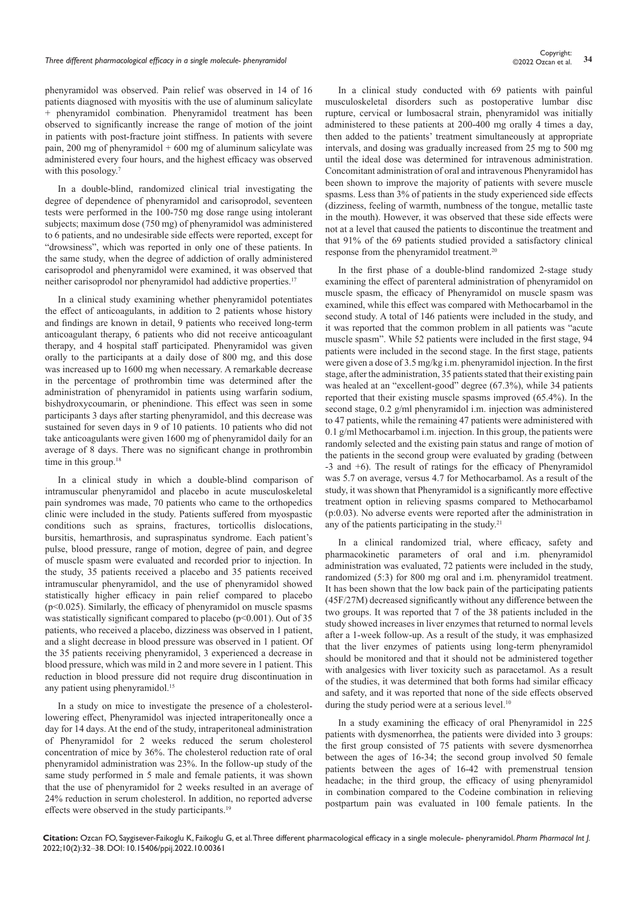# Copyright:<br>Three different pharmacological efficacy in a single molecule- phenyramidol<br><sup>34</sup> 34 Copyright: 34

phenyramidol was observed. Pain relief was observed in 14 of 16 patients diagnosed with myositis with the use of aluminum salicylate + phenyramidol combination. Phenyramidol treatment has been observed to significantly increase the range of motion of the joint in patients with post-fracture joint stiffness. In patients with severe pain, 200 mg of phenyramidol + 600 mg of aluminum salicylate was administered every four hours, and the highest efficacy was observed with this posology.<sup>7</sup>

In a double-blind, randomized clinical trial investigating the degree of dependence of phenyramidol and carisoprodol, seventeen tests were performed in the 100-750 mg dose range using intolerant subjects; maximum dose (750 mg) of phenyramidol was administered to 6 patients, and no undesirable side effects were reported, except for "drowsiness", which was reported in only one of these patients. In the same study, when the degree of addiction of orally administered carisoprodol and phenyramidol were examined, it was observed that neither carisoprodol nor phenyramidol had addictive properties.<sup>17</sup>

In a clinical study examining whether phenyramidol potentiates the effect of anticoagulants, in addition to 2 patients whose history and findings are known in detail, 9 patients who received long-term anticoagulant therapy, 6 patients who did not receive anticoagulant therapy, and 4 hospital staff participated. Phenyramidol was given orally to the participants at a daily dose of 800 mg, and this dose was increased up to 1600 mg when necessary. A remarkable decrease in the percentage of prothrombin time was determined after the administration of phenyramidol in patients using warfarin sodium, bishydroxycoumarin, or phenindione. This effect was seen in some participants 3 days after starting phenyramidol, and this decrease was sustained for seven days in 9 of 10 patients. 10 patients who did not take anticoagulants were given 1600 mg of phenyramidol daily for an average of 8 days. There was no significant change in prothrombin time in this group.<sup>18</sup>

In a clinical study in which a double-blind comparison of intramuscular phenyramidol and placebo in acute musculoskeletal pain syndromes was made, 70 patients who came to the orthopedics clinic were included in the study. Patients suffered from myospastic conditions such as sprains, fractures, torticollis dislocations, bursitis, hemarthrosis, and supraspinatus syndrome. Each patient's pulse, blood pressure, range of motion, degree of pain, and degree of muscle spasm were evaluated and recorded prior to injection. In the study, 35 patients received a placebo and 35 patients received intramuscular phenyramidol, and the use of phenyramidol showed statistically higher efficacy in pain relief compared to placebo (p<0.025). Similarly, the efficacy of phenyramidol on muscle spasms was statistically significant compared to placebo (p<0.001). Out of 35 patients, who received a placebo, dizziness was observed in 1 patient, and a slight decrease in blood pressure was observed in 1 patient. Of the 35 patients receiving phenyramidol, 3 experienced a decrease in blood pressure, which was mild in 2 and more severe in 1 patient. This reduction in blood pressure did not require drug discontinuation in any patient using phenyramidol.<sup>15</sup>

In a study on mice to investigate the presence of a cholesterollowering effect, Phenyramidol was injected intraperitoneally once a day for 14 days. At the end of the study, intraperitoneal administration of Phenyramidol for 2 weeks reduced the serum cholesterol concentration of mice by 36%. The cholesterol reduction rate of oral phenyramidol administration was 23%. In the follow-up study of the same study performed in 5 male and female patients, it was shown that the use of phenyramidol for 2 weeks resulted in an average of 24% reduction in serum cholesterol. In addition, no reported adverse effects were observed in the study participants.<sup>19</sup>

In a clinical study conducted with 69 patients with painful musculoskeletal disorders such as postoperative lumbar disc rupture, cervical or lumbosacral strain, phenyramidol was initially administered to these patients at 200-400 mg orally 4 times a day, then added to the patients' treatment simultaneously at appropriate intervals, and dosing was gradually increased from 25 mg to 500 mg until the ideal dose was determined for intravenous administration. Concomitant administration of oral and intravenous Phenyramidol has been shown to improve the majority of patients with severe muscle spasms. Less than 3% of patients in the study experienced side effects (dizziness, feeling of warmth, numbness of the tongue, metallic taste in the mouth). However, it was observed that these side effects were not at a level that caused the patients to discontinue the treatment and that 91% of the 69 patients studied provided a satisfactory clinical response from the phenyramidol treatment.<sup>20</sup>

In the first phase of a double-blind randomized 2-stage study examining the effect of parenteral administration of phenyramidol on muscle spasm, the efficacy of Phenyramidol on muscle spasm was examined, while this effect was compared with Methocarbamol in the second study. A total of 146 patients were included in the study, and it was reported that the common problem in all patients was "acute muscle spasm". While 52 patients were included in the first stage, 94 patients were included in the second stage. In the first stage, patients were given a dose of 3.5 mg/kg i.m. phenyramidol injection. In the first stage, after the administration, 35 patients stated that their existing pain was healed at an "excellent-good" degree (67.3%), while 34 patients reported that their existing muscle spasms improved (65.4%). In the second stage, 0.2 g/ml phenyramidol i.m. injection was administered to 47 patients, while the remaining 47 patients were administered with 0.1 g/ml Methocarbamol i.m. injection. In this group, the patients were randomly selected and the existing pain status and range of motion of the patients in the second group were evaluated by grading (between -3 and +6). The result of ratings for the efficacy of Phenyramidol was 5.7 on average, versus 4.7 for Methocarbamol. As a result of the study, it was shown that Phenyramidol is a significantly more effective treatment option in relieving spasms compared to Methocarbamol (p:0.03). No adverse events were reported after the administration in any of the patients participating in the study. $21$ 

In a clinical randomized trial, where efficacy, safety and pharmacokinetic parameters of oral and i.m. phenyramidol administration was evaluated, 72 patients were included in the study, randomized (5:3) for 800 mg oral and i.m. phenyramidol treatment. It has been shown that the low back pain of the participating patients (45F/27M) decreased significantly without any difference between the two groups. It was reported that 7 of the 38 patients included in the study showed increases in liver enzymes that returned to normal levels after a 1-week follow-up. As a result of the study, it was emphasized that the liver enzymes of patients using long-term phenyramidol should be monitored and that it should not be administered together with analgesics with liver toxicity such as paracetamol. As a result of the studies, it was determined that both forms had similar efficacy and safety, and it was reported that none of the side effects observed during the study period were at a serious level. $10$ 

In a study examining the efficacy of oral Phenyramidol in 225 patients with dysmenorrhea, the patients were divided into 3 groups: the first group consisted of 75 patients with severe dysmenorrhea between the ages of 16-34; the second group involved 50 female patients between the ages of 16-42 with premenstrual tension headache; in the third group, the efficacy of using phenyramidol in combination compared to the Codeine combination in relieving postpartum pain was evaluated in 100 female patients. In the

**Citation:** Ozcan FO, Saygisever-Faikoglu K, Faikoglu G, et al. Three different pharmacological efficacy in a single molecule- phenyramidol. *Pharm Pharmacol Int J.* 2022;10(2):32‒38. DOI: [10.15406/ppij.2022.10.00361](https://doi.org/10.15406/ppij.2022.10.00361)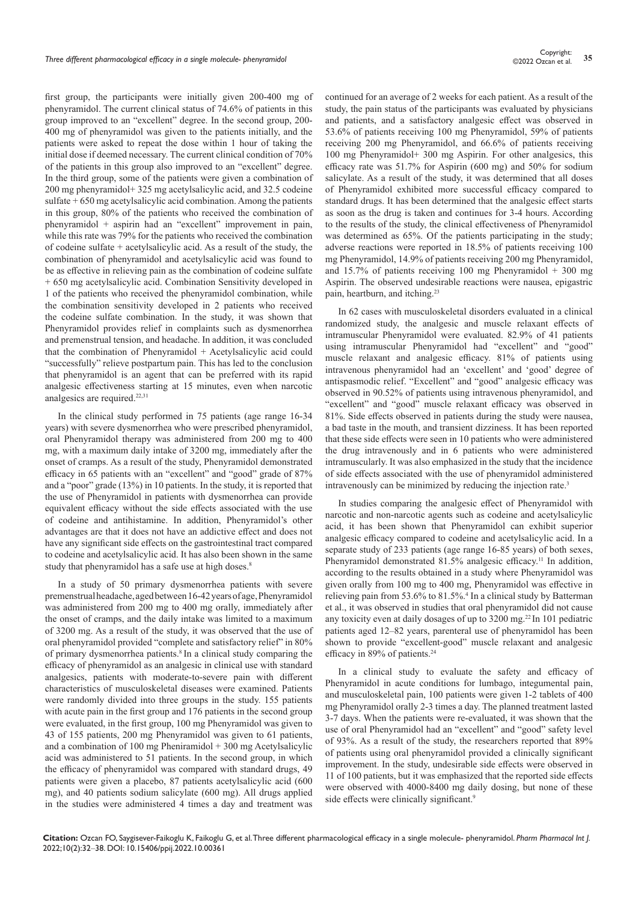first group, the participants were initially given 200-400 mg of phenyramidol. The current clinical status of 74.6% of patients in this group improved to an "excellent" degree. In the second group, 200- 400 mg of phenyramidol was given to the patients initially, and the patients were asked to repeat the dose within 1 hour of taking the initial dose if deemed necessary. The current clinical condition of 70% of the patients in this group also improved to an "excellent" degree. In the third group, some of the patients were given a combination of 200 mg phenyramidol+ 325 mg acetylsalicylic acid, and 32.5 codeine sulfate  $+650$  mg acetylsalicylic acid combination. Among the patients in this group, 80% of the patients who received the combination of phenyramidol + aspirin had an "excellent" improvement in pain, while this rate was 79% for the patients who received the combination of codeine sulfate + acetylsalicylic acid. As a result of the study, the combination of phenyramidol and acetylsalicylic acid was found to be as effective in relieving pain as the combination of codeine sulfate + 650 mg acetylsalicylic acid. Combination Sensitivity developed in 1 of the patients who received the phenyramidol combination, while the combination sensitivity developed in 2 patients who received the codeine sulfate combination. In the study, it was shown that Phenyramidol provides relief in complaints such as dysmenorrhea and premenstrual tension, and headache. In addition, it was concluded that the combination of Phenyramidol + Acetylsalicylic acid could "successfully" relieve postpartum pain. This has led to the conclusion that phenyramidol is an agent that can be preferred with its rapid analgesic effectiveness starting at 15 minutes, even when narcotic analgesics are required.<sup>22,31</sup>

In the clinical study performed in 75 patients (age range 16-34 years) with severe dysmenorrhea who were prescribed phenyramidol, oral Phenyramidol therapy was administered from 200 mg to 400 mg, with a maximum daily intake of 3200 mg, immediately after the onset of cramps. As a result of the study, Phenyramidol demonstrated efficacy in 65 patients with an "excellent" and "good" grade of 87% and a "poor" grade (13%) in 10 patients. In the study, it is reported that the use of Phenyramidol in patients with dysmenorrhea can provide equivalent efficacy without the side effects associated with the use of codeine and antihistamine. In addition, Phenyramidol's other advantages are that it does not have an addictive effect and does not have any significant side effects on the gastrointestinal tract compared to codeine and acetylsalicylic acid. It has also been shown in the same study that phenyramidol has a safe use at high doses.<sup>8</sup>

In a study of 50 primary dysmenorrhea patients with severe premenstrual headache, aged between 16-42 years of age, Phenyramidol was administered from 200 mg to 400 mg orally, immediately after the onset of cramps, and the daily intake was limited to a maximum of 3200 mg. As a result of the study, it was observed that the use of oral phenyramidol provided "complete and satisfactory relief" in 80% of primary dysmenorrhea patients.8 In a clinical study comparing the efficacy of phenyramidol as an analgesic in clinical use with standard analgesics, patients with moderate-to-severe pain with different characteristics of musculoskeletal diseases were examined. Patients were randomly divided into three groups in the study. 155 patients with acute pain in the first group and 176 patients in the second group were evaluated, in the first group, 100 mg Phenyramidol was given to 43 of 155 patients, 200 mg Phenyramidol was given to 61 patients, and a combination of  $100$  mg Pheniramidol  $+300$  mg Acetylsalicylic acid was administered to 51 patients. In the second group, in which the efficacy of phenyramidol was compared with standard drugs, 49 patients were given a placebo, 87 patients acetylsalicylic acid (600 mg), and 40 patients sodium salicylate (600 mg). All drugs applied in the studies were administered 4 times a day and treatment was continued for an average of 2 weeks for each patient. As a result of the study, the pain status of the participants was evaluated by physicians and patients, and a satisfactory analgesic effect was observed in 53.6% of patients receiving 100 mg Phenyramidol, 59% of patients receiving 200 mg Phenyramidol, and 66.6% of patients receiving 100 mg Phenyramidol+ 300 mg Aspirin. For other analgesics, this efficacy rate was 51.7% for Aspirin (600 mg) and 50% for sodium salicylate. As a result of the study, it was determined that all doses of Phenyramidol exhibited more successful efficacy compared to standard drugs. It has been determined that the analgesic effect starts as soon as the drug is taken and continues for 3-4 hours. According to the results of the study, the clinical effectiveness of Phenyramidol was determined as 65%. Of the patients participating in the study; adverse reactions were reported in 18.5% of patients receiving 100 mg Phenyramidol, 14.9% of patients receiving 200 mg Phenyramidol, and 15.7% of patients receiving 100 mg Phenyramidol  $+300$  mg Aspirin. The observed undesirable reactions were nausea, epigastric pain, heartburn, and itching.23

In 62 cases with musculoskeletal disorders evaluated in a clinical randomized study, the analgesic and muscle relaxant effects of intramuscular Phenyramidol were evaluated. 82.9% of 41 patients using intramuscular Phenyramidol had "excellent" and "good" muscle relaxant and analgesic efficacy. 81% of patients using intravenous phenyramidol had an 'excellent' and 'good' degree of antispasmodic relief. "Excellent" and "good" analgesic efficacy was observed in 90.52% of patients using intravenous phenyramidol, and "excellent" and "good" muscle relaxant efficacy was observed in 81%. Side effects observed in patients during the study were nausea, a bad taste in the mouth, and transient dizziness. It has been reported that these side effects were seen in 10 patients who were administered the drug intravenously and in 6 patients who were administered intramuscularly. It was also emphasized in the study that the incidence of side effects associated with the use of phenyramidol administered intravenously can be minimized by reducing the injection rate.<sup>3</sup>

In studies comparing the analgesic effect of Phenyramidol with narcotic and non-narcotic agents such as codeine and acetylsalicylic acid, it has been shown that Phenyramidol can exhibit superior analgesic efficacy compared to codeine and acetylsalicylic acid. In a separate study of 233 patients (age range 16-85 years) of both sexes, Phenyramidol demonstrated 81.5% analgesic efficacy.<sup>11</sup> In addition, according to the results obtained in a study where Phenyramidol was given orally from 100 mg to 400 mg, Phenyramidol was effective in relieving pain from 53.6% to 81.5%.<sup>4</sup> In a clinical study by Batterman et al., it was observed in studies that oral phenyramidol did not cause any toxicity even at daily dosages of up to 3200 mg.<sup>22</sup>In 101 pediatric patients aged 12–82 years, parenteral use of phenyramidol has been shown to provide "excellent-good" muscle relaxant and analgesic efficacy in 89% of patients.<sup>24</sup>

In a clinical study to evaluate the safety and efficacy of Phenyramidol in acute conditions for lumbago, integumental pain, and musculoskeletal pain, 100 patients were given 1-2 tablets of 400 mg Phenyramidol orally 2-3 times a day. The planned treatment lasted 3-7 days. When the patients were re-evaluated, it was shown that the use of oral Phenyramidol had an "excellent" and "good" safety level of 93%. As a result of the study, the researchers reported that 89% of patients using oral phenyramidol provided a clinically significant improvement. In the study, undesirable side effects were observed in 11 of 100 patients, but it was emphasized that the reported side effects were observed with 4000-8400 mg daily dosing, but none of these side effects were clinically significant.<sup>9</sup>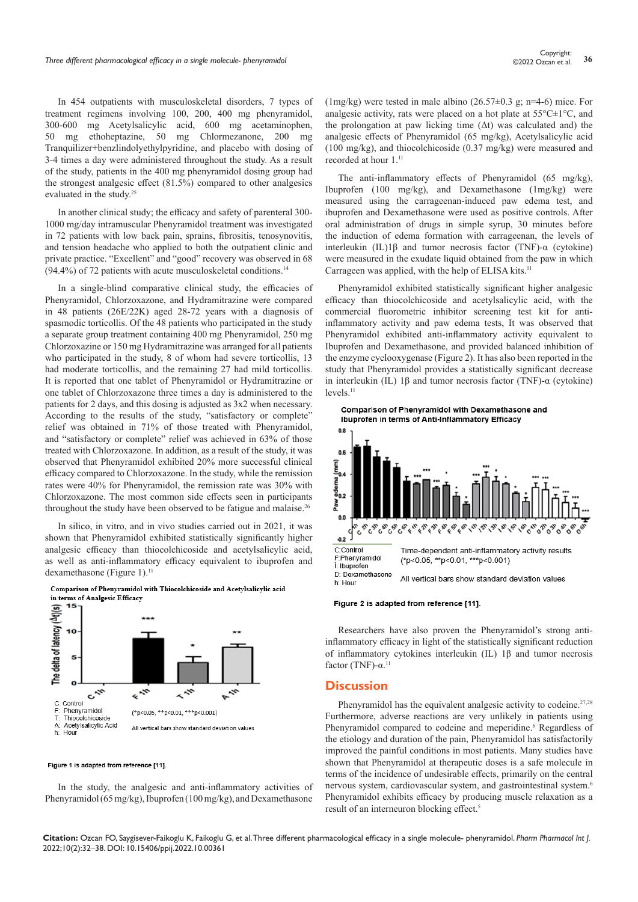In 454 outpatients with musculoskeletal disorders, 7 types of treatment regimens involving 100, 200, 400 mg phenyramidol, 300-600 mg Acetylsalicylic acid, 600 mg acetaminophen, 50 mg ethoheptazine, 50 mg Chlormezanone, 200 mg Tranquilizer+benzlindolyethylpyridine, and placebo with dosing of 3-4 times a day were administered throughout the study. As a result of the study, patients in the 400 mg phenyramidol dosing group had the strongest analgesic effect (81.5%) compared to other analgesics evaluated in the study.<sup>25</sup>

In another clinical study; the efficacy and safety of parenteral 300- 1000 mg/day intramuscular Phenyramidol treatment was investigated in 72 patients with low back pain, sprains, fibrositis, tenosynovitis, and tension headache who applied to both the outpatient clinic and private practice. "Excellent" and "good" recovery was observed in 68 (94.4%) of 72 patients with acute musculoskeletal conditions.<sup>14</sup>

In a single-blind comparative clinical study, the efficacies of Phenyramidol, Chlorzoxazone, and Hydramitrazine were compared in 48 patients (26E/22K) aged 28-72 years with a diagnosis of spasmodic torticollis. Of the 48 patients who participated in the study a separate group treatment containing 400 mg Phenyramidol, 250 mg Chlorzoxazine or 150 mg Hydramitrazine was arranged for all patients who participated in the study, 8 of whom had severe torticollis, 13 had moderate torticollis, and the remaining 27 had mild torticollis. It is reported that one tablet of Phenyramidol or Hydramitrazine or one tablet of Chlorzoxazone three times a day is administered to the patients for 2 days, and this dosing is adjusted as 3x2 when necessary. According to the results of the study, "satisfactory or complete" relief was obtained in 71% of those treated with Phenyramidol, and "satisfactory or complete" relief was achieved in 63% of those treated with Chlorzoxazone. In addition, as a result of the study, it was observed that Phenyramidol exhibited 20% more successful clinical efficacy compared to Chlorzoxazone. In the study, while the remission rates were 40% for Phenyramidol, the remission rate was 30% with Chlorzoxazone. The most common side effects seen in participants throughout the study have been observed to be fatigue and malaise.<sup>26</sup>

In silico, in vitro, and in vivo studies carried out in 2021, it was shown that Phenyramidol exhibited statistically significantly higher analgesic efficacy than thiocolchicoside and acetylsalicylic acid, as well as anti-inflammatory efficacy equivalent to ibuprofen and dexamethasone (Figure 1).<sup>11</sup>



# Comparison of Phenyramidol with Thiocolchicoside and Acetylsalicylic acid in terms of Analgesic Efficacy

#### Figure 1 is adapted from reference [11].

In the study, the analgesic and anti-inflammatory activities of Phenyramidol (65 mg/kg), Ibuprofen (100 mg/kg), and Dexamethasone

(1mg/kg) were tested in male albino (26.57 $\pm$ 0.3 g; n=4-6) mice. For analgesic activity, rats were placed on a hot plate at  $55^{\circ}$ C $\pm$ 1<sup>o</sup>C, and the prolongation at paw licking time  $(Δt)$  was calculated and) the analgesic effects of Phenyramidol (65 mg/kg), Acetylsalicylic acid (100 mg/kg), and thiocolchicoside (0.37 mg/kg) were measured and recorded at hour 1.11

The anti-inflammatory effects of Phenyramidol (65 mg/kg), Ibuprofen (100 mg/kg), and Dexamethasone (1mg/kg) were measured using the carrageenan-induced paw edema test, and ibuprofen and Dexamethasone were used as positive controls. After oral administration of drugs in simple syrup, 30 minutes before the induction of edema formation with carrageenan, the levels of interleukin (IL)1β and tumor necrosis factor (TNF)-α (cytokine) were measured in the exudate liquid obtained from the paw in which Carrageen was applied, with the help of ELISA kits.<sup>11</sup>

Phenyramidol exhibited statistically significant higher analgesic efficacy than thiocolchicoside and acetylsalicylic acid, with the commercial fluorometric inhibitor screening test kit for antiinflammatory activity and paw edema tests, It was observed that Phenyramidol exhibited anti-inflammatory activity equivalent to Ibuprofen and Dexamethasone, and provided balanced inhibition of the enzyme cyclooxygenase (Figure 2). It has also been reported in the study that Phenyramidol provides a statistically significant decrease in interleukin (IL) 1β and tumor necrosis factor (TNF)-α (cytokine) levels.<sup>11</sup>



#### Figure 2 is adapted from reference [11].

Researchers have also proven the Phenyramidol's strong antiinflammatory efficacy in light of the statistically significant reduction of inflammatory cytokines interleukin (IL) 1β and tumor necrosis factor (TNF)- $α$ <sup>11</sup>

#### **Discussion**

Phenyramidol has the equivalent analgesic activity to codeine.<sup>27,28</sup> Furthermore, adverse reactions are very unlikely in patients using Phenyramidol compared to codeine and meperidine.<sup>6</sup> Regardless of the etiology and duration of the pain, Phenyramidol has satisfactorily improved the painful conditions in most patients. Many studies have shown that Phenyramidol at therapeutic doses is a safe molecule in terms of the incidence of undesirable effects, primarily on the central nervous system, cardiovascular system, and gastrointestinal system.<sup>6</sup> Phenyramidol exhibits efficacy by producing muscle relaxation as a result of an interneuron blocking effect.<sup>5</sup>

**Citation:** Ozcan FO, Saygisever-Faikoglu K, Faikoglu G, et al. Three different pharmacological efficacy in a single molecule- phenyramidol. *Pharm Pharmacol Int J.* 2022;10(2):32‒38. DOI: [10.15406/ppij.2022.10.00361](https://doi.org/10.15406/ppij.2022.10.00361)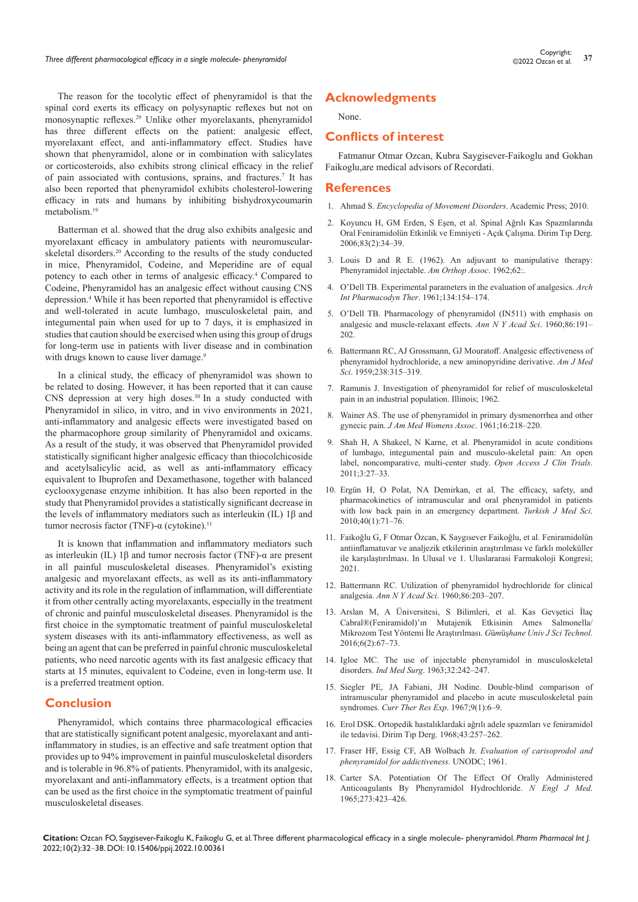The reason for the tocolytic effect of phenyramidol is that the spinal cord exerts its efficacy on polysynaptic reflexes but not on monosynaptic reflexes.29 Unlike other myorelaxants, phenyramidol has three different effects on the patient: analgesic effect, myorelaxant effect, and anti-inflammatory effect. Studies have shown that phenyramidol, alone or in combination with salicylates or corticosteroids, also exhibits strong clinical efficacy in the relief of pain associated with contusions, sprains, and fractures.<sup>7</sup> It has also been reported that phenyramidol exhibits cholesterol-lowering efficacy in rats and humans by inhibiting bishydroxycoumarin metabolism.<sup>19</sup>

Batterman et al. showed that the drug also exhibits analgesic and myorelaxant efficacy in ambulatory patients with neuromuscularskeletal disorders.<sup>20</sup> According to the results of the study conducted in mice, Phenyramidol, Codeine, and Meperidine are of equal potency to each other in terms of analgesic efficacy.<sup>4</sup> Compared to Codeine, Phenyramidol has an analgesic effect without causing CNS depression.4 While it has been reported that phenyramidol is effective and well-tolerated in acute lumbago, musculoskeletal pain, and integumental pain when used for up to 7 days, it is emphasized in studies that caution should be exercised when using this group of drugs for long-term use in patients with liver disease and in combination with drugs known to cause liver damage.<sup>9</sup>

In a clinical study, the efficacy of phenyramidol was shown to be related to dosing. However, it has been reported that it can cause CNS depression at very high doses. $30 \text{ In a study conducted with}$ Phenyramidol in silico, in vitro, and in vivo environments in 2021, anti-inflammatory and analgesic effects were investigated based on the pharmacophore group similarity of Phenyramidol and oxicams. As a result of the study, it was observed that Phenyramidol provided statistically significant higher analgesic efficacy than thiocolchicoside and acetylsalicylic acid, as well as anti-inflammatory efficacy equivalent to Ibuprofen and Dexamethasone, together with balanced cyclooxygenase enzyme inhibition. It has also been reported in the study that Phenyramidol provides a statistically significant decrease in the levels of inflammatory mediators such as interleukin (IL) 1β and tumor necrosis factor (TNF)-α (cytokine).<sup>11</sup>

It is known that inflammation and inflammatory mediators such as interleukin (IL) 1β and tumor necrosis factor (TNF)-α are present in all painful musculoskeletal diseases. Phenyramidol's existing analgesic and myorelaxant effects, as well as its anti-inflammatory activity and its role in the regulation of inflammation, will differentiate it from other centrally acting myorelaxants, especially in the treatment of chronic and painful musculoskeletal diseases. Phenyramidol is the first choice in the symptomatic treatment of painful musculoskeletal system diseases with its anti-inflammatory effectiveness, as well as being an agent that can be preferred in painful chronic musculoskeletal patients, who need narcotic agents with its fast analgesic efficacy that starts at 15 minutes, equivalent to Codeine, even in long-term use. It is a preferred treatment option.

# **Conclusion**

Phenyramidol, which contains three pharmacological efficacies that are statistically significant potent analgesic, myorelaxant and antiinflammatory in studies, is an effective and safe treatment option that provides up to 94% improvement in painful musculoskeletal disorders and is tolerable in 96.8% of patients. Phenyramidol, with its analgesic, myorelaxant and anti-inflammatory effects, is a treatment option that can be used as the first choice in the symptomatic treatment of painful musculoskeletal diseases.

# **Acknowledgments**

None.

# **Conflicts of interest**

Fatmanur Otmar Ozcan, Kubra Saygisever-Faikoglu and Gokhan Faikoglu,are medical advisors of Recordati.

#### **References**

- 1. Ahmad S. *[Encyclopedia of Movement Disorders](https://www.sciencedirect.com/referencework/9780123741059/encyclopedia-of-movement-disorders)*. Academic Press; 2010.
- 2. [Koyuncu H, GM Erden, S Eşen, et al. Spinal Ağrılı Kas Spazmlarında](http://www.dirim.com/Dirim_2008-2_files/Spinal%20Ag%CC%86r%C4%B1l%C4%B1%20Kas%20Spazmlar%C4%B1nda%20Oral%20Feniramidolu%CC%88n%20Etkinlik%20ve%20Emniyeti%20-%20Ac%CC%A7%C4%B1k%20C%CC%A7al%C4%B1s%CC%A7ma.pdf)  [Oral Feniramidolün Etkinlik ve Emniyeti - Açık Çalışma. Dirim Tıp Derg.](http://www.dirim.com/Dirim_2008-2_files/Spinal%20Ag%CC%86r%C4%B1l%C4%B1%20Kas%20Spazmlar%C4%B1nda%20Oral%20Feniramidolu%CC%88n%20Etkinlik%20ve%20Emniyeti%20-%20Ac%CC%A7%C4%B1k%20C%CC%A7al%C4%B1s%CC%A7ma.pdf)  [2006;83\(2\):34–39.](http://www.dirim.com/Dirim_2008-2_files/Spinal%20Ag%CC%86r%C4%B1l%C4%B1%20Kas%20Spazmlar%C4%B1nda%20Oral%20Feniramidolu%CC%88n%20Etkinlik%20ve%20Emniyeti%20-%20Ac%CC%A7%C4%B1k%20C%CC%A7al%C4%B1s%CC%A7ma.pdf)
- 3. Louis D and R E. (1962). An adjuvant to manipulative therapy: Phenyramidol injectable. *Am Orthop Assoc*. 1962;62:.
- 4. O'Dell TB. Experimental parameters in the evaluation of analgesics. *Arch Int Pharmacodyn Ther*. 1961;134:154–174.
- 5. [O'Dell TB. Pharmacology of phenyramidol \(IN511\) with emphasis on](https://pubmed.ncbi.nlm.nih.gov/14428054/)  [analgesic and muscle-relaxant effects.](https://pubmed.ncbi.nlm.nih.gov/14428054/) *Ann N Y Acad Sci*. 1960;86:191– [202.](https://pubmed.ncbi.nlm.nih.gov/14428054/)
- 6. [Battermann RC, AJ Grossmann, GJ Mouratoff. Analgesic effectiveness of](https://pubmed.ncbi.nlm.nih.gov/13797562/)  [phenyramidol hydrochloride, a new aminopyridine derivative.](https://pubmed.ncbi.nlm.nih.gov/13797562/) *Am J Med Sci*[. 1959;238:315–319.](https://pubmed.ncbi.nlm.nih.gov/13797562/)
- 7. Ramunis J. Investigation of phenyramidol for relief of musculoskeletal pain in an industrial population. Illinois; 1962.
- 8. Wainer AS. The use of phenyramidol in primary dysmenorrhea and other gynecic pain. *J Am Med Womens Assoc*. 1961;16:218–220.
- 9. [Shah H, A Shakeel, N Karne, et al. Phenyramidol in acute conditions](file:///D:/MANASA/Backup%20data/2022/PDFs/March/10-3-2022/PPIJ-10-00361/PPIJ-22-RW-565_W/Phenyramidol%20in%20acute%20conditions%20of%20lumbago,%20integumental%20pain%20and%20musculo-skeletal%20pain:%20An%20open%20label,%20noncomparative,%20multi-center%20study)  [of lumbago, integumental pain and musculo-skeletal pain: An open](file:///D:/MANASA/Backup%20data/2022/PDFs/March/10-3-2022/PPIJ-10-00361/PPIJ-22-RW-565_W/Phenyramidol%20in%20acute%20conditions%20of%20lumbago,%20integumental%20pain%20and%20musculo-skeletal%20pain:%20An%20open%20label,%20noncomparative,%20multi-center%20study)  [label, noncomparative, multi-center study.](file:///D:/MANASA/Backup%20data/2022/PDFs/March/10-3-2022/PPIJ-10-00361/PPIJ-22-RW-565_W/Phenyramidol%20in%20acute%20conditions%20of%20lumbago,%20integumental%20pain%20and%20musculo-skeletal%20pain:%20An%20open%20label,%20noncomparative,%20multi-center%20study) *Open Access J Clin Trials*. [2011;3:27–33.](file:///D:/MANASA/Backup%20data/2022/PDFs/March/10-3-2022/PPIJ-10-00361/PPIJ-22-RW-565_W/Phenyramidol%20in%20acute%20conditions%20of%20lumbago,%20integumental%20pain%20and%20musculo-skeletal%20pain:%20An%20open%20label,%20noncomparative,%20multi-center%20study)
- 10. [Ergün H, O Polat, NA Demirkan, et al. The efficacy, safety, and](https://journals.tubitak.gov.tr/medical/issues/sag-10-40-1/sag-40-1-11-0811-15.pdf)  [pharmacokinetics of intramuscular and oral phenyramidol in patients](https://journals.tubitak.gov.tr/medical/issues/sag-10-40-1/sag-40-1-11-0811-15.pdf)  [with low back pain in an emergency department.](https://journals.tubitak.gov.tr/medical/issues/sag-10-40-1/sag-40-1-11-0811-15.pdf) *Turkish J Med Sci*.  $2010:40(1):71-\overline{76}$ .
- 11. Faikoğlu G, F Otmar Özcan, K Saygısever Faikoğlu, et al. Feniramidolün antiinflamatuvar ve analjezik etkilerinin araştırılması ve farklı moleküller ile karşılaştırılması. In Ulusal ve 1. Uluslararasi Farmakoloji Kongresi; 2021.
- 12. [Battermann RC. Utilization of phenyramidol hydrochloride for clinical](https://pubmed.ncbi.nlm.nih.gov/13797563/)  analgesia. *Ann N Y Acad Sci*[. 1960;86:203–207.](https://pubmed.ncbi.nlm.nih.gov/13797563/)
- 13. [Arslan M, A Üniversitesi, S Bilimleri, et al. Kas Gevşetici İlaç](https://dergipark.org.tr/en/pub/gumusfenbil/issue/24437/259050)  [Cabral®\(Feniramidol\)'ın Mutajenik Etkisinin Ames Salmonella/](https://dergipark.org.tr/en/pub/gumusfenbil/issue/24437/259050) [Mikrozom Test Yöntemi İle Araştırılması.](https://dergipark.org.tr/en/pub/gumusfenbil/issue/24437/259050) *G*ü*m*üş*hane Univ J Sci Technol*. [2016;6\(2\):67–73.](https://dergipark.org.tr/en/pub/gumusfenbil/issue/24437/259050)
- 14. [Igloe MC. The use of injectable phenyramidol in musculoskeletal](https://wwww.unboundmedicine.com/medline/citation/13956238/The_use_of_injectable_phenyramidol_in_musculoskeletal_disorders_)  disorders. *Ind Med Surg*[. 1963;32:242–247.](https://wwww.unboundmedicine.com/medline/citation/13956238/The_use_of_injectable_phenyramidol_in_musculoskeletal_disorders_)
- 15. [Siegler PE, JA Fabiani, JH Nodine. Double-blind comparison of](https://pubmed.ncbi.nlm.nih.gov/4963024/)  [intramuscular phenyramidol and placebo in acute musculoskeletal pain](https://pubmed.ncbi.nlm.nih.gov/4963024/)  syndromes. *[Curr Ther Res Exp](https://pubmed.ncbi.nlm.nih.gov/4963024/)*. 1967;9(1):6–9.
- 16. Erol DSK. Ortopedik hastalıklardaki ağrılı adele spazmları ve feniramidol ile tedavisi. Dirim Tıp Derg. 1968;43:257–262.
- 17. [Fraser HF, Essig CF, AB Wolbach Jr.](https://www.unodc.org/unodc/en/data-and-analysis/bulletin/bulletin_1961-01-01_4_page002.html) *Evaluation of carisoprodol and [phenyramidol for addictiveness](https://www.unodc.org/unodc/en/data-and-analysis/bulletin/bulletin_1961-01-01_4_page002.html)*. UNODC; 1961.
- 18. [Carter SA. Potentiation Of The Effect Of Orally Administered](https://pubmed.ncbi.nlm.nih.gov/14328106/)  [Anticoagulants By Phenyramidol Hydrochloride.](https://pubmed.ncbi.nlm.nih.gov/14328106/) *N Engl J Med*. [1965;273:423–426.](https://pubmed.ncbi.nlm.nih.gov/14328106/)

**Citation:** Ozcan FO, Saygisever-Faikoglu K, Faikoglu G, et al. Three different pharmacological efficacy in a single molecule- phenyramidol. *Pharm Pharmacol Int J.* 2022;10(2):32‒38. DOI: [10.15406/ppij.2022.10.00361](https://doi.org/10.15406/ppij.2022.10.00361)